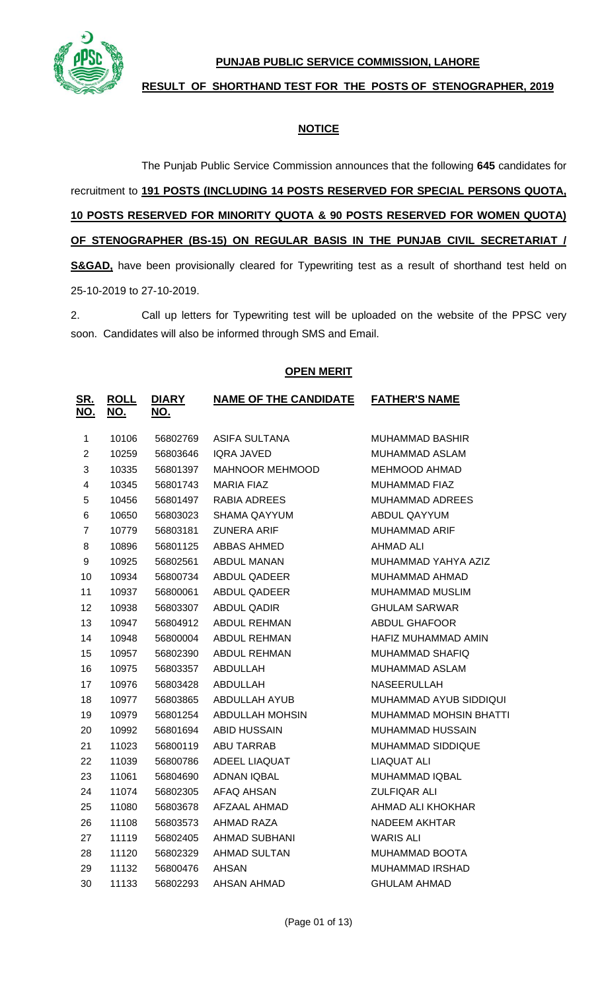

**PUNJAB PUBLIC SERVICE COMMISSION, LAHORE**

**RESULT OF SHORTHAND TEST FOR THE POSTS OF STENOGRAPHER, 2019**

# **NOTICE**

The Punjab Public Service Commission announces that the following **645** candidates for

recruitment to **191 POSTS (INCLUDING 14 POSTS RESERVED FOR SPECIAL PERSONS QUOTA, POSTS RESERVED FOR MINORITY QUOTA & 90 POSTS RESERVED FOR WOMEN QUOTA) OF STENOGRAPHER (BS-15) ON REGULAR BASIS IN THE PUNJAB CIVIL SECRETARIAT / S&GAD**, have been provisionally cleared for Typewriting test as a result of shorthand test held on 25-10-2019 to 27-10-2019.

2. Call up letters for Typewriting test will be uploaded on the website of the PPSC very soon. Candidates will also be informed through SMS and Email.

## **OPEN MERIT**

| <u>SR.</u><br>NO.       | <b>ROLL</b><br><u>NO.</u> | <b>DIARY</b><br>NO. | <b>NAME OF THE CANDIDATE</b> | <b>FATHER'S NAME</b>          |
|-------------------------|---------------------------|---------------------|------------------------------|-------------------------------|
| $\mathbf 1$             | 10106                     | 56802769            | <b>ASIFA SULTANA</b>         | MUHAMMAD BASHIR               |
| $\overline{2}$          | 10259                     | 56803646            | <b>IQRA JAVED</b>            | MUHAMMAD ASLAM                |
| 3                       | 10335                     | 56801397            | <b>MAHNOOR MEHMOOD</b>       | MEHMOOD AHMAD                 |
| $\overline{\mathbf{4}}$ | 10345                     | 56801743            | MARIA FIAZ                   | MUHAMMAD FIAZ                 |
| 5                       | 10456                     | 56801497            | RABIA ADREES                 | <b>MUHAMMAD ADREES</b>        |
| 6                       | 10650                     | 56803023            | <b>SHAMA QAYYUM</b>          | ABDUL QAYYUM                  |
| $\overline{7}$          | 10779                     | 56803181            | <b>ZUNERA ARIF</b>           | MUHAMMAD ARIF                 |
| 8                       | 10896                     | 56801125            | ABBAS AHMED                  | AHMAD ALI                     |
| 9                       | 10925                     | 56802561            | ABDUL MANAN                  | MUHAMMAD YAHYA AZIZ           |
| 10                      | 10934                     | 56800734            | ABDUL QADEER                 | MUHAMMAD AHMAD                |
| 11                      | 10937                     | 56800061            | ABDUL QADEER                 | MUHAMMAD MUSLIM               |
| 12                      | 10938                     | 56803307            | <b>ABDUL QADIR</b>           | <b>GHULAM SARWAR</b>          |
| 13                      | 10947                     | 56804912            | ABDUL REHMAN                 | <b>ABDUL GHAFOOR</b>          |
| 14                      | 10948                     | 56800004            | ABDUL REHMAN                 | HAFIZ MUHAMMAD AMIN           |
| 15                      | 10957                     | 56802390            | <b>ABDUL REHMAN</b>          | MUHAMMAD SHAFIQ               |
| 16                      | 10975                     | 56803357            | ABDULLAH                     | MUHAMMAD ASLAM                |
| 17                      | 10976                     | 56803428            | ABDULLAH                     | NASEERULLAH                   |
| 18                      | 10977                     | 56803865            | ABDULLAH AYUB                | MUHAMMAD AYUB SIDDIQUI        |
| 19                      | 10979                     | 56801254            | ABDULLAH MOHSIN              | <b>MUHAMMAD MOHSIN BHATTI</b> |
| 20                      | 10992                     | 56801694            | <b>ABID HUSSAIN</b>          | MUHAMMAD HUSSAIN              |
| 21                      | 11023                     | 56800119            | <b>ABU TARRAB</b>            | <b>MUHAMMAD SIDDIQUE</b>      |
| 22                      | 11039                     | 56800786            | ADEEL LIAQUAT                | <b>LIAQUAT ALI</b>            |
| 23                      | 11061                     | 56804690            | ADNAN IQBAL                  | MUHAMMAD IQBAL                |
| 24                      | 11074                     | 56802305            | AFAQ AHSAN                   | <b>ZULFIQAR ALI</b>           |
| 25                      | 11080                     | 56803678            | AFZAAL AHMAD                 | AHMAD ALI KHOKHAR             |
| 26                      | 11108                     | 56803573            | AHMAD RAZA                   | <b>NADEEM AKHTAR</b>          |
| 27                      | 11119                     | 56802405            | <b>AHMAD SUBHANI</b>         | <b>WARIS ALI</b>              |
| 28                      | 11120                     | 56802329            | <b>AHMAD SULTAN</b>          | MUHAMMAD BOOTA                |
| 29                      | 11132                     | 56800476            | <b>AHSAN</b>                 | MUHAMMAD IRSHAD               |
| 30                      | 11133                     | 56802293            | AHSAN AHMAD                  | <b>GHULAM AHMAD</b>           |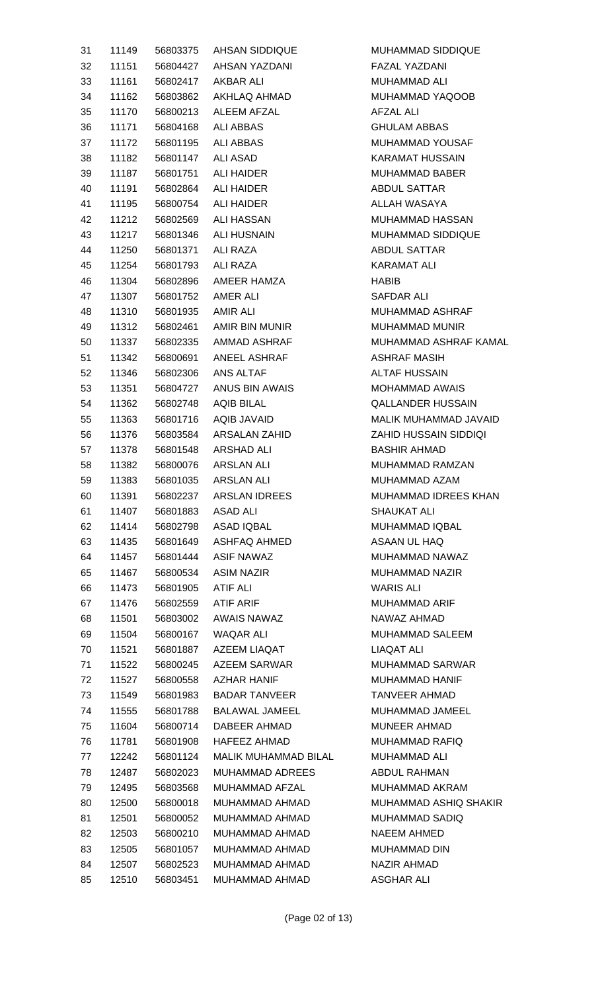| 31 | 11149 |                      | 56803375 AHSAN SIDDIQUE            | <b>MUHA</b>                 |
|----|-------|----------------------|------------------------------------|-----------------------------|
| 32 | 11151 |                      | 56804427 AHSAN YAZDANI             | FAZAL                       |
| 33 | 11161 |                      | 56802417 AKBAR ALI                 | <b>MUHA</b>                 |
| 34 | 11162 |                      | 56803862 AKHLAQ AHMAD              | <b>MUHA</b>                 |
| 35 | 11170 |                      | 56800213 ALEEM AFZAL               | AFZAL                       |
| 36 | 11171 |                      | 56804168 ALI ABBAS                 | <b>GHUL</b>                 |
| 37 | 11172 |                      | 56801195 ALI ABBAS                 | <b>MUHA</b>                 |
| 38 | 11182 |                      | 56801147 ALI ASAD                  | KARAI                       |
| 39 |       |                      | 11187    56801751    ALI    HAIDER | <b>MUHA</b>                 |
| 40 | 11191 |                      | 56802864 ALI HAIDER                | <b>ABDUI</b>                |
| 41 | 11195 |                      | 56800754 ALI HAIDER                | <b>ALLAH</b>                |
| 42 | 11212 |                      | 56802569 ALI HASSAN                | <b>MUHA</b>                 |
| 43 | 11217 |                      | 56801346 ALI HUSNAIN               | <b>MUHA</b>                 |
| 44 | 11250 |                      | 56801371 ALI RAZA                  | <b>ABDUI</b>                |
| 45 | 11254 |                      | 56801793 ALI RAZA                  | KARAI                       |
| 46 | 11304 |                      | 56802896 AMEER HAMZA               | <b>HABIB</b>                |
| 47 | 11307 |                      | 56801752 AMER ALI                  | SAFD/                       |
| 48 | 11310 | 56801935 AMIR ALI    |                                    | <b>MUHA</b>                 |
| 49 |       |                      | 11312   56802461   AMIR BIN MUNIR  | <b>MUHA</b>                 |
| 50 | 11337 |                      | 56802335 AMMAD ASHRAF              | <b>MUHA</b>                 |
| 51 | 11342 |                      | 56800691 ANEEL ASHRAF              | ASHR/                       |
| 52 | 11346 |                      | 56802306 ANS ALTAF                 | <b>ALTAF</b>                |
| 53 | 11351 |                      | 56804727 ANUS BIN AWAIS            | <b>MOHA</b>                 |
| 54 | 11362 |                      | 56802748 AQIB BILAL                | QALLA                       |
| 55 | 11363 |                      | 56801716 AQIB JAVAID               | <b>MALIK</b>                |
| 56 | 11376 |                      | 56803584 ARSALAN ZAHID             | <b>ZAHID</b>                |
| 57 | 11378 |                      | 56801548 ARSHAD ALI                | <b>BASHI</b>                |
| 58 | 11382 |                      | 56800076 ARSLAN ALI                | <b>MUHA</b>                 |
| 59 | 11383 |                      | 56801035 ARSLAN ALI                | <b>MUHA</b>                 |
|    | 11391 |                      | 56802237 ARSLAN IDREES             |                             |
| 60 |       |                      | <b>ASAD ALI</b>                    | MUHA                        |
| 61 | 11407 | 56801883<br>56802798 | ASAD IQBAL                         | <b>SHAUI</b><br><b>MUHA</b> |
| 62 | 11414 | 56801649             |                                    |                             |
| 63 | 11435 |                      | ASHFAQ AHMED                       | <b>ASAAM</b>                |
| 64 | 11457 | 56801444             | ASIF NAWAZ                         | <b>MUHA</b>                 |
| 65 | 11467 | 56800534             | ASIM NAZIR                         | <b>MUHA</b>                 |
| 66 | 11473 | 56801905             | ATIF ALI                           | <b>WARIS</b>                |
| 67 | 11476 | 56802559             | <b>ATIF ARIF</b>                   | <b>MUHA</b>                 |
| 68 | 11501 | 56803002             | <b>AWAIS NAWAZ</b>                 | <b>NAWA</b>                 |
| 69 | 11504 | 56800167             | WAQAR ALI                          | <b>MUHA</b>                 |
| 70 | 11521 |                      | 56801887 AZEEM LIAQAT              | <b>LIAQA</b>                |
| 71 | 11522 | 56800245             | AZEEM SARWAR                       | <b>MUHA</b>                 |
| 72 | 11527 | 56800558             | <b>AZHAR HANIF</b>                 | <b>MUHA</b>                 |
| 73 | 11549 |                      | 56801983 BADAR TANVEER             | <b>TANVE</b>                |
| 74 | 11555 | 56801788             | BALAWAL JAMEEL                     | <b>MUHA</b>                 |
| 75 | 11604 |                      | 56800714 DABEER AHMAD              | <b>MUNE</b>                 |
| 76 | 11781 | 56801908             | HAFEEZ AHMAD                       | <b>MUHA</b>                 |
| 77 | 12242 | 56801124             | MALIK MUHAMMAD BILAL               | <b>MUHA</b>                 |
| 78 | 12487 | 56802023             | <b>MUHAMMAD ADREES</b>             | <b>ABDUI</b>                |
| 79 | 12495 | 56803568             | MUHAMMAD AFZAL                     | <b>MUHA</b>                 |
| 80 | 12500 | 56800018             | MUHAMMAD AHMAD                     | <b>MUHA</b>                 |
| 81 | 12501 | 56800052             | MUHAMMAD AHMAD                     | <b>MUHA</b>                 |
| 82 | 12503 | 56800210             | MUHAMMAD AHMAD                     | <b>NAEE</b>                 |
| 83 | 12505 | 56801057             | MUHAMMAD AHMAD                     | <b>MUHA</b>                 |
| 84 | 12507 |                      | 56802523 MUHAMMAD AHMAD            | <b>NAZIR</b>                |
| 85 | 12510 | 56803451             | MUHAMMAD AHMAD                     | ASGH                        |

MUHAMMAD SIDDIQUE FAZAL YAZDANI MUHAMMAD ALI MUHAMMAD YAQOOB AFZAL ALI **GHULAM ABBAS** MUHAMMAD YOUSAF KARAMAT HUSSAIN MUHAMMAD BABER ABDUL SATTAR ALLAH WASAYA MUHAMMAD HASSAN MUHAMMAD SIDDIQUE ABDUL SATTAR **KARAMAT ALI** SAFDAR ALI MUHAMMAD ASHRAF MUHAMMAD MUNIR MUHAMMAD ASHRAF KAMAL ASHRAF MASIH ALTAF HUSSAIN MOHAMMAD AWAIS QALLANDER HUSSAIN 55 11363 56801716 AQIB JAVAID MALIK MUHAMMAD JAVAID **ZAHID HUSSAIN SIDDIQI** BASHIR AHMAD MUHAMMAD RAMZAN MUHAMMAD AZAM MUHAMMAD IDREES KHAN SHAUKAT ALI MUHAMMAD IQBAL ASAAN UL HAQ MUHAMMAD NAWAZ **MUHAMMAD NAZIR WARIS ALI** MUHAMMAD ARIF NAWAZ AHMAD MUHAMMAD SALEEM LIAQAT ALI MUHAMMAD SARWAR MUHAMMAD HANIF TANVEER AHMAD MUHAMMAD JAMEEL MUNEER AHMAD MUHAMMAD RAFIQ MUHAMMAD ALI ABDUL RAHMAN MUHAMMAD AKRAM MUHAMMAD ASHIQ SHAKIR MUHAMMAD SADIQ NAEEM AHMED **MUHAMMAD DIN** NAZIR AHMAD ASGHAR ALI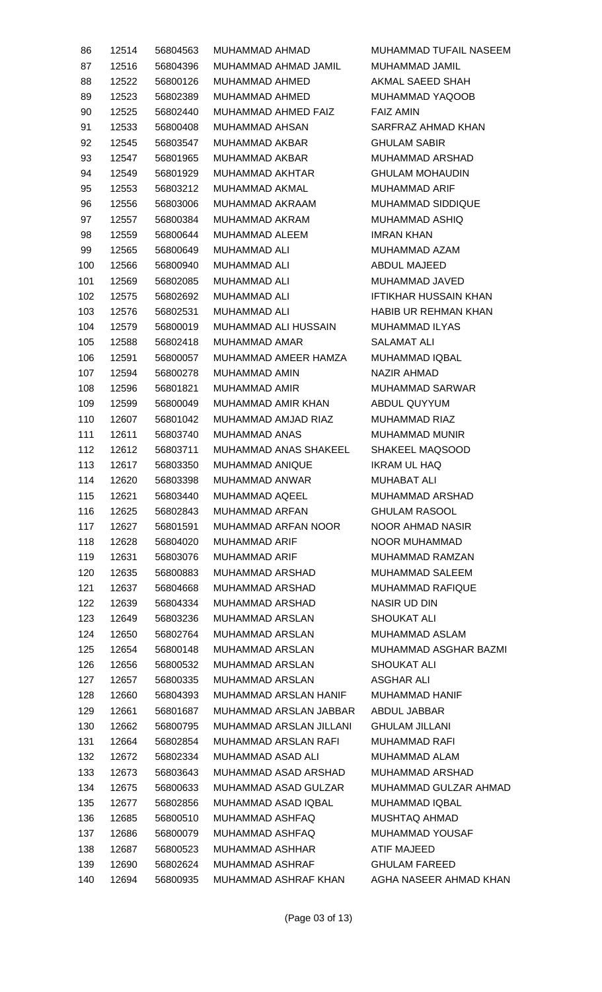| 86  | 12514 | 56804563 | MUHAMMAD AHMAD          | MUHAMMAD TUFAIL NASEEM       |
|-----|-------|----------|-------------------------|------------------------------|
| 87  | 12516 | 56804396 | MUHAMMAD AHMAD JAMIL    | MUHAMMAD JAMIL               |
| 88  | 12522 | 56800126 | MUHAMMAD AHMED          | AKMAL SAEED SHAH             |
| 89  | 12523 | 56802389 | MUHAMMAD AHMED          | MUHAMMAD YAQOOB              |
| 90  | 12525 | 56802440 | MUHAMMAD AHMED FAIZ     | <b>FAIZ AMIN</b>             |
| 91  | 12533 | 56800408 | MUHAMMAD AHSAN          | SARFRAZ AHMAD KHAN           |
| 92  | 12545 | 56803547 | MUHAMMAD AKBAR          | <b>GHULAM SABIR</b>          |
| 93  | 12547 | 56801965 | MUHAMMAD AKBAR          | MUHAMMAD ARSHAD              |
| 94  | 12549 | 56801929 | MUHAMMAD AKHTAR         | <b>GHULAM MOHAUDIN</b>       |
| 95  | 12553 | 56803212 | MUHAMMAD AKMAL          | MUHAMMAD ARIF                |
| 96  | 12556 | 56803006 | MUHAMMAD AKRAAM         | MUHAMMAD SIDDIQUE            |
| 97  | 12557 | 56800384 | MUHAMMAD AKRAM          | MUHAMMAD ASHIQ               |
| 98  | 12559 | 56800644 | MUHAMMAD ALEEM          | <b>IMRAN KHAN</b>            |
| 99  | 12565 | 56800649 | MUHAMMAD ALI            | MUHAMMAD AZAM                |
| 100 | 12566 | 56800940 | MUHAMMAD ALI            | ABDUL MAJEED                 |
| 101 | 12569 | 56802085 | <b>MUHAMMAD ALI</b>     | MUHAMMAD JAVED               |
| 102 | 12575 | 56802692 | <b>MUHAMMAD ALI</b>     | <b>IFTIKHAR HUSSAIN KHAN</b> |
| 103 | 12576 | 56802531 | <b>MUHAMMAD ALI</b>     | <b>HABIB UR REHMAN KHAN</b>  |
| 104 | 12579 | 56800019 | MUHAMMAD ALI HUSSAIN    | MUHAMMAD ILYAS               |
| 105 | 12588 | 56802418 | MUHAMMAD AMAR           | SALAMAT ALI                  |
| 106 | 12591 | 56800057 | MUHAMMAD AMEER HAMZA    | MUHAMMAD IQBAL               |
| 107 | 12594 | 56800278 | MUHAMMAD AMIN           | NAZIR AHMAD                  |
| 108 | 12596 | 56801821 | MUHAMMAD AMIR           | MUHAMMAD SARWAR              |
| 109 | 12599 | 56800049 | MUHAMMAD AMIR KHAN      | ABDUL QUYYUM                 |
| 110 | 12607 | 56801042 | MUHAMMAD AMJAD RIAZ     | MUHAMMAD RIAZ                |
| 111 | 12611 | 56803740 | MUHAMMAD ANAS           | MUHAMMAD MUNIR               |
| 112 | 12612 | 56803711 | MUHAMMAD ANAS SHAKEEL   | SHAKEEL MAQSOOD              |
| 113 | 12617 | 56803350 | MUHAMMAD ANIQUE         | IKRAM UL HAQ                 |
| 114 | 12620 | 56803398 | MUHAMMAD ANWAR          | MUHABAT ALI                  |
| 115 | 12621 | 56803440 | MUHAMMAD AQEEL          | MUHAMMAD ARSHAD              |
| 116 | 12625 | 56802843 | MUHAMMAD ARFAN          | <b>GHULAM RASOOL</b>         |
| 117 | 12627 | 56801591 | MUHAMMAD ARFAN NOOR     | <b>NOOR AHMAD NASIR</b>      |
| 118 | 12628 | 56804020 | <b>MUHAMMAD ARIF</b>    | NOOR MUHAMMAD                |
| 119 | 12631 | 56803076 | <b>MUHAMMAD ARIF</b>    | MUHAMMAD RAMZAN              |
| 120 | 12635 | 56800883 | MUHAMMAD ARSHAD         | MUHAMMAD SALEEM              |
| 121 | 12637 | 56804668 | MUHAMMAD ARSHAD         | MUHAMMAD RAFIQUE             |
| 122 | 12639 | 56804334 | MUHAMMAD ARSHAD         | <b>NASIR UD DIN</b>          |
| 123 | 12649 | 56803236 | MUHAMMAD ARSLAN         | <b>SHOUKAT ALI</b>           |
| 124 | 12650 | 56802764 | MUHAMMAD ARSLAN         | MUHAMMAD ASLAM               |
| 125 | 12654 | 56800148 | MUHAMMAD ARSLAN         | MUHAMMAD ASGHAR BAZMI        |
| 126 | 12656 | 56800532 | MUHAMMAD ARSLAN         | SHOUKAT ALI                  |
| 127 | 12657 | 56800335 | MUHAMMAD ARSLAN         | ASGHAR ALI                   |
| 128 | 12660 | 56804393 | MUHAMMAD ARSLAN HANIF   | MUHAMMAD HANIF               |
| 129 | 12661 | 56801687 | MUHAMMAD ARSLAN JABBAR  | ABDUL JABBAR                 |
| 130 | 12662 | 56800795 | MUHAMMAD ARSLAN JILLANI | <b>GHULAM JILLANI</b>        |
| 131 | 12664 | 56802854 | MUHAMMAD ARSLAN RAFI    | <b>MUHAMMAD RAFI</b>         |
| 132 | 12672 | 56802334 | MUHAMMAD ASAD ALI       | MUHAMMAD ALAM                |
| 133 | 12673 | 56803643 | MUHAMMAD ASAD ARSHAD    | MUHAMMAD ARSHAD              |
| 134 | 12675 | 56800633 | MUHAMMAD ASAD GULZAR    | MUHAMMAD GULZAR AHMAD        |
| 135 | 12677 | 56802856 | MUHAMMAD ASAD IQBAL     | MUHAMMAD IQBAL               |
| 136 | 12685 | 56800510 | MUHAMMAD ASHFAQ         | MUSHTAQ AHMAD                |
| 137 | 12686 | 56800079 | MUHAMMAD ASHFAQ         | MUHAMMAD YOUSAF              |
| 138 | 12687 | 56800523 | MUHAMMAD ASHHAR         | ATIF MAJEED                  |
| 139 | 12690 | 56802624 | MUHAMMAD ASHRAF         | <b>GHULAM FAREED</b>         |
| 140 | 12694 | 56800935 | MUHAMMAD ASHRAF KHAN    | AGHA NASEER AHMAD KHAN       |
|     |       |          |                         |                              |

(Page 03 of 13)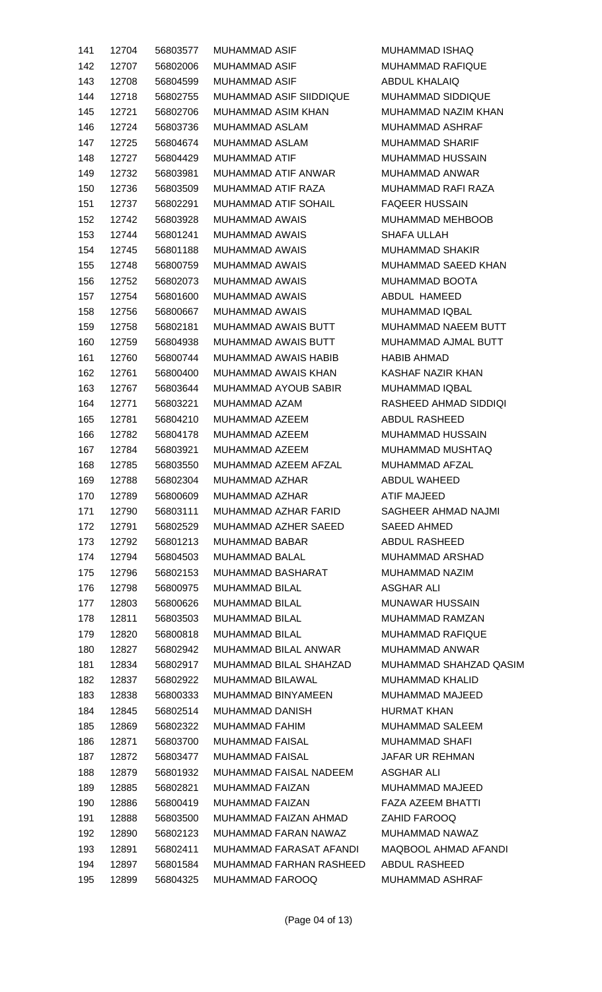| 141 | 12704 | 56803577 | <b>MUHAMMAD ASIF</b>                         | MUHAMMAD ISHAQ           |
|-----|-------|----------|----------------------------------------------|--------------------------|
| 142 | 12707 | 56802006 | MUHAMMAD ASIF                                | <b>MUHAMMAD RAFIQUE</b>  |
| 143 | 12708 | 56804599 | <b>MUHAMMAD ASIF</b>                         | <b>ABDUL KHALAIQ</b>     |
| 144 | 12718 | 56802755 | MUHAMMAD ASIF SIIDDIQUE                      | <b>MUHAMMAD SIDDIQUE</b> |
| 145 | 12721 | 56802706 | MUHAMMAD ASIM KHAN                           | MUHAMMAD NAZIM KHAN      |
|     |       |          |                                              |                          |
| 146 | 12724 | 56803736 | MUHAMMAD ASLAM                               | MUHAMMAD ASHRAF          |
| 147 | 12725 | 56804674 | MUHAMMAD ASLAM                               | <b>MUHAMMAD SHARIF</b>   |
| 148 | 12727 | 56804429 | MUHAMMAD ATIF                                | <b>MUHAMMAD HUSSAIN</b>  |
| 149 | 12732 | 56803981 | MUHAMMAD ATIF ANWAR                          | MUHAMMAD ANWAR           |
| 150 | 12736 | 56803509 | MUHAMMAD ATIF RAZA                           | MUHAMMAD RAFI RAZA       |
| 151 | 12737 | 56802291 | MUHAMMAD ATIF SOHAIL                         | <b>FAQEER HUSSAIN</b>    |
| 152 | 12742 | 56803928 | MUHAMMAD AWAIS                               | MUHAMMAD MEHBOOB         |
| 153 | 12744 | 56801241 | MUHAMMAD AWAIS                               | SHAFA ULLAH              |
| 154 | 12745 | 56801188 | MUHAMMAD AWAIS                               | <b>MUHAMMAD SHAKIR</b>   |
| 155 | 12748 | 56800759 | MUHAMMAD AWAIS                               | MUHAMMAD SAEED KHAN      |
| 156 | 12752 | 56802073 | <b>MUHAMMAD AWAIS</b>                        | MUHAMMAD BOOTA           |
| 157 | 12754 | 56801600 | <b>MUHAMMAD AWAIS</b>                        | ABDUL HAMEED             |
| 158 | 12756 | 56800667 | <b>MUHAMMAD AWAIS</b>                        | MUHAMMAD IQBAL           |
| 159 | 12758 | 56802181 | MUHAMMAD AWAIS BUTT                          | MUHAMMAD NAEEM BUTT      |
| 160 | 12759 | 56804938 | MUHAMMAD AWAIS BUTT                          | MUHAMMAD AJMAL BUTT      |
| 161 | 12760 | 56800744 | MUHAMMAD AWAIS HABIB                         | <b>HABIB AHMAD</b>       |
| 162 | 12761 | 56800400 | MUHAMMAD AWAIS KHAN                          | KASHAF NAZIR KHAN        |
| 163 | 12767 | 56803644 | MUHAMMAD AYOUB SABIR                         | <b>MUHAMMAD IQBAL</b>    |
| 164 | 12771 | 56803221 | MUHAMMAD AZAM                                | RASHEED AHMAD SIDDIQI    |
| 165 | 12781 | 56804210 | MUHAMMAD AZEEM                               | ABDUL RASHEED            |
| 166 | 12782 | 56804178 | MUHAMMAD AZEEM                               | MUHAMMAD HUSSAIN         |
| 167 | 12784 | 56803921 | MUHAMMAD AZEEM                               | MUHAMMAD MUSHTAQ         |
| 168 | 12785 | 56803550 | MUHAMMAD AZEEM AFZAL                         | MUHAMMAD AFZAL           |
| 169 | 12788 | 56802304 | MUHAMMAD AZHAR                               | ABDUL WAHEED             |
| 170 | 12789 | 56800609 | MUHAMMAD AZHAR ATIF MAJEED                   |                          |
| 171 | 12790 | 56803111 | MUHAMMAD AZHAR FARID                         | SAGHEER AHMAD NAJMI      |
| 172 | 12791 | 56802529 | MUHAMMAD AZHER SAEED                         | SAEED AHMED              |
| 173 | 12792 | 56801213 | MUHAMMAD BABAR                               | ABDUL RASHEED            |
| 174 | 12794 | 56804503 | MUHAMMAD BALAL                               | <b>MUHAMMAD ARSHAD</b>   |
| 175 | 12796 | 56802153 | MUHAMMAD BASHARAT                            | MUHAMMAD NAZIM           |
| 176 | 12798 | 56800975 | MUHAMMAD BILAL                               | <b>ASGHAR ALI</b>        |
| 177 | 12803 | 56800626 | MUHAMMAD BILAL                               | <b>MUNAWAR HUSSAIN</b>   |
| 178 | 12811 | 56803503 | MUHAMMAD BILAL                               | MUHAMMAD RAMZAN          |
| 179 | 12820 | 56800818 | MUHAMMAD BILAL                               | <b>MUHAMMAD RAFIQUE</b>  |
| 180 | 12827 | 56802942 | MUHAMMAD BILAL ANWAR                         | MUHAMMAD ANWAR           |
| 181 |       | 56802917 | MUHAMMAD BILAL SHAHZAD                       | MUHAMMAD SHAHZAD QASIM   |
|     | 12834 |          |                                              |                          |
| 182 | 12837 | 56802922 | MUHAMMAD BILAWAL                             | MUHAMMAD KHALID          |
| 183 | 12838 | 56800333 | MUHAMMAD BINYAMEEN                           | MUHAMMAD MAJEED          |
| 184 | 12845 | 56802514 | MUHAMMAD DANISH                              | HURMAT KHAN              |
| 185 | 12869 | 56802322 | MUHAMMAD FAHIM                               | MUHAMMAD SALEEM          |
| 186 | 12871 | 56803700 | MUHAMMAD FAISAL                              | <b>MUHAMMAD SHAFI</b>    |
| 187 | 12872 | 56803477 | MUHAMMAD FAISAL                              | JAFAR UR REHMAN          |
| 188 | 12879 | 56801932 | MUHAMMAD FAISAL NADEEM                       | ASGHAR ALI               |
| 189 | 12885 | 56802821 | MUHAMMAD FAIZAN                              | MUHAMMAD MAJEED          |
| 190 | 12886 | 56800419 | MUHAMMAD FAIZAN                              | FAZA AZEEM BHATTI        |
| 191 | 12888 | 56803500 | MUHAMMAD FAIZAN AHMAD                        | ZAHID FAROOQ             |
| 192 | 12890 | 56802123 | MUHAMMAD FARAN NAWAZ                         | MUHAMMAD NAWAZ           |
| 193 | 12891 | 56802411 | MUHAMMAD FARASAT AFANDI MAQBOOL AHMAD AFANDI |                          |
| 194 | 12897 | 56801584 | MUHAMMAD FARHAN RASHEED                      | ABDUL RASHEED            |
| 195 | 12899 | 56804325 | MUHAMMAD FAROOQ                              | MUHAMMAD ASHRAF          |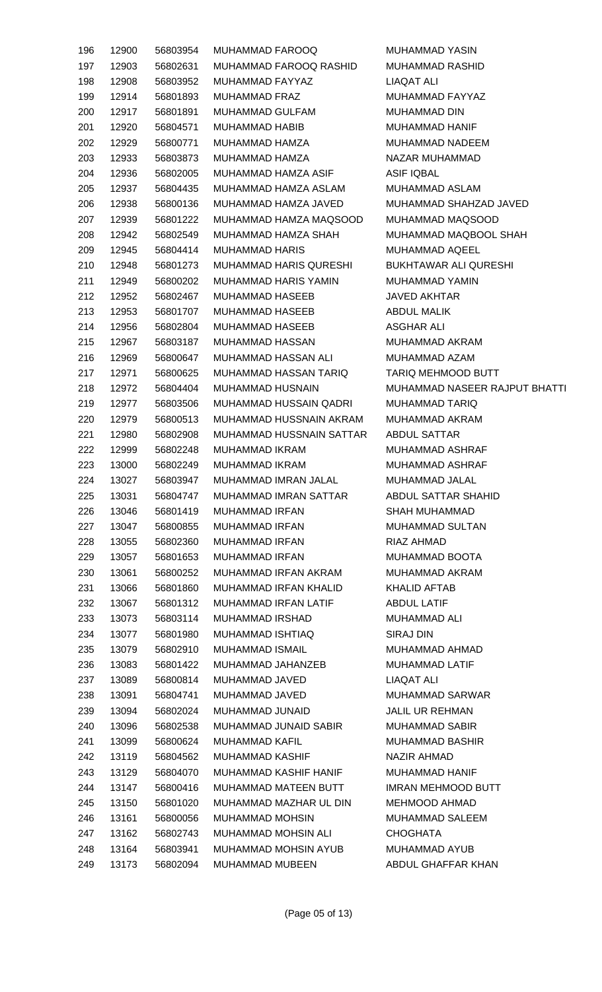| 196 | 12900 | 56803954 | MUHAMMAD FAROOQ             | <b>MUHAMMAD YASIN</b>         |
|-----|-------|----------|-----------------------------|-------------------------------|
| 197 | 12903 | 56802631 | MUHAMMAD FAROOQ RASHID      | MUHAMMAD RASHID               |
| 198 | 12908 | 56803952 | MUHAMMAD FAYYAZ             | LIAQAT ALI                    |
| 199 | 12914 | 56801893 | MUHAMMAD FRAZ               | MUHAMMAD FAYYAZ               |
| 200 | 12917 | 56801891 | MUHAMMAD GULFAM             | <b>MUHAMMAD DIN</b>           |
| 201 | 12920 | 56804571 | <b>MUHAMMAD HABIB</b>       | <b>MUHAMMAD HANIF</b>         |
| 202 | 12929 | 56800771 | MUHAMMAD HAMZA              | MUHAMMAD NADEEM               |
| 203 | 12933 | 56803873 | MUHAMMAD HAMZA              | NAZAR MUHAMMAD                |
| 204 | 12936 | 56802005 | MUHAMMAD HAMZA ASIF         | <b>ASIF IQBAL</b>             |
| 205 | 12937 | 56804435 | MUHAMMAD HAMZA ASLAM        | MUHAMMAD ASLAM                |
| 206 | 12938 | 56800136 | MUHAMMAD HAMZA JAVED        | MUHAMMAD SHAHZAD JAVED        |
| 207 | 12939 | 56801222 | MUHAMMAD HAMZA MAQSOOD      | MUHAMMAD MAQSOOD              |
| 208 | 12942 | 56802549 | MUHAMMAD HAMZA SHAH         | MUHAMMAD MAQBOOL SHAH         |
| 209 | 12945 | 56804414 | <b>MUHAMMAD HARIS</b>       | MUHAMMAD AQEEL                |
| 210 | 12948 | 56801273 | MUHAMMAD HARIS QURESHI      | BUKHTAWAR ALI QURESHI         |
| 211 | 12949 | 56800202 | <b>MUHAMMAD HARIS YAMIN</b> | MUHAMMAD YAMIN                |
| 212 | 12952 | 56802467 | MUHAMMAD HASEEB             | JAVED AKHTAR                  |
| 213 | 12953 | 56801707 | MUHAMMAD HASEEB             | <b>ABDUL MALIK</b>            |
| 214 | 12956 | 56802804 | MUHAMMAD HASEEB             | <b>ASGHAR ALI</b>             |
| 215 | 12967 | 56803187 | MUHAMMAD HASSAN             | MUHAMMAD AKRAM                |
|     |       |          |                             |                               |
| 216 | 12969 | 56800647 | MUHAMMAD HASSAN ALI         | MUHAMMAD AZAM                 |
| 217 | 12971 | 56800625 | MUHAMMAD HASSAN TARIQ       | <b>TARIQ MEHMOOD BUTT</b>     |
| 218 | 12972 | 56804404 | MUHAMMAD HUSNAIN            | MUHAMMAD NASEER RAJPUT BHATTI |
| 219 | 12977 | 56803506 | MUHAMMAD HUSSAIN QADRI      | MUHAMMAD TARIQ                |
| 220 | 12979 | 56800513 | MUHAMMAD HUSSNAIN AKRAM     | MUHAMMAD AKRAM                |
| 221 | 12980 | 56802908 | MUHAMMAD HUSSNAIN SATTAR    | <b>ABDUL SATTAR</b>           |
| 222 | 12999 | 56802248 | MUHAMMAD IKRAM              | <b>MUHAMMAD ASHRAF</b>        |
| 223 | 13000 | 56802249 | MUHAMMAD IKRAM              | MUHAMMAD ASHRAF               |
| 224 | 13027 | 56803947 | MUHAMMAD IMRAN JALAL        | MUHAMMAD JALAL                |
| 225 | 13031 | 56804747 | MUHAMMAD IMRAN SATTAR       | ABDUL SATTAR SHAHID           |
| 226 | 13046 | 56801419 | MUHAMMAD IRFAN              | <b>SHAH MUHAMMAD</b>          |
| 227 | 13047 | 56800855 | MUHAMMAD IRFAN              | <b>MUHAMMAD SULTAN</b>        |
| 228 | 13055 | 56802360 | MUHAMMAD IRFAN              | RIAZ AHMAD                    |
| 229 | 13057 | 56801653 | <b>MUHAMMAD IRFAN</b>       | MUHAMMAD BOOTA                |
| 230 | 13061 | 56800252 | MUHAMMAD IRFAN AKRAM        | MUHAMMAD AKRAM                |
| 231 | 13066 | 56801860 | MUHAMMAD IRFAN KHALID       | <b>KHALID AFTAB</b>           |
| 232 | 13067 | 56801312 | MUHAMMAD IRFAN LATIF        | <b>ABDUL LATIF</b>            |
| 233 | 13073 | 56803114 | MUHAMMAD IRSHAD             | MUHAMMAD ALI                  |
| 234 | 13077 | 56801980 | MUHAMMAD ISHTIAQ            | <b>SIRAJ DIN</b>              |
| 235 | 13079 | 56802910 | MUHAMMAD ISMAIL             | MUHAMMAD AHMAD                |
| 236 | 13083 | 56801422 | MUHAMMAD JAHANZEB           | MUHAMMAD LATIF                |
| 237 | 13089 | 56800814 | MUHAMMAD JAVED              | LIAQAT ALI                    |
| 238 | 13091 | 56804741 | MUHAMMAD JAVED              | <b>MUHAMMAD SARWAR</b>        |
| 239 | 13094 | 56802024 | MUHAMMAD JUNAID             | <b>JALIL UR REHMAN</b>        |
| 240 | 13096 | 56802538 | MUHAMMAD JUNAID SABIR       | <b>MUHAMMAD SABIR</b>         |
| 241 | 13099 | 56800624 | <b>MUHAMMAD KAFIL</b>       | <b>MUHAMMAD BASHIR</b>        |
| 242 | 13119 | 56804562 | MUHAMMAD KASHIF             | NAZIR AHMAD                   |
| 243 | 13129 | 56804070 | MUHAMMAD KASHIF HANIF       | <b>MUHAMMAD HANIF</b>         |
| 244 | 13147 | 56800416 | MUHAMMAD MATEEN BUTT        | <b>IMRAN MEHMOOD BUTT</b>     |
| 245 | 13150 | 56801020 | MUHAMMAD MAZHAR UL DIN      | MEHMOOD AHMAD                 |
| 246 | 13161 | 56800056 | <b>MUHAMMAD MOHSIN</b>      | MUHAMMAD SALEEM               |
| 247 | 13162 | 56802743 | MUHAMMAD MOHSIN ALI         | <b>CHOGHATA</b>               |
| 248 | 13164 | 56803941 | MUHAMMAD MOHSIN AYUB        | <b>MUHAMMAD AYUB</b>          |
| 249 | 13173 | 56802094 | <b>MUHAMMAD MUBEEN</b>      | ABDUL GHAFFAR KHAN            |
|     |       |          |                             |                               |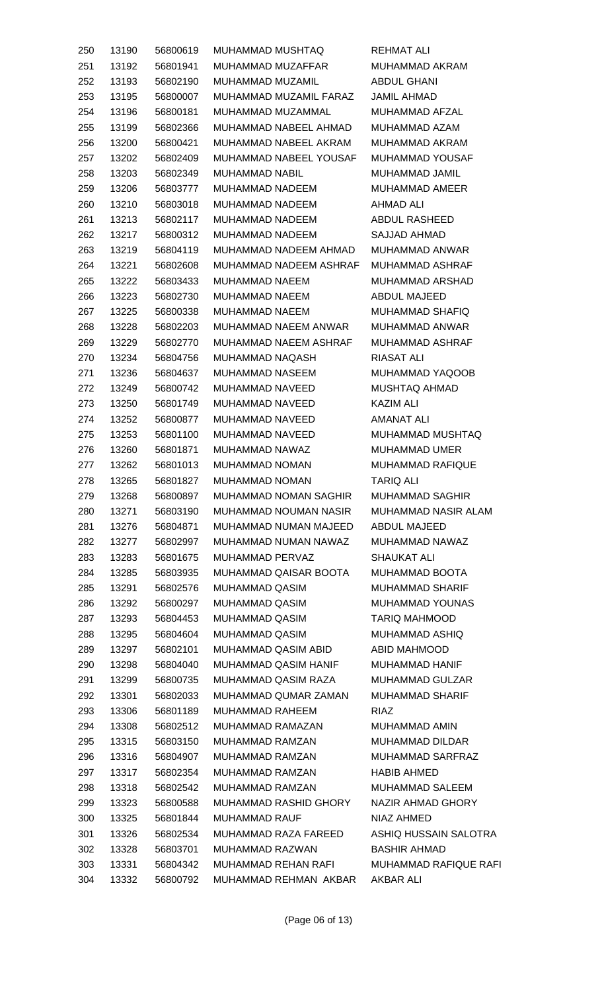| 250        | 13190 | 56800619 | MUHAMMAD MUSHTAQ                                     | REHMAT ALI                          |
|------------|-------|----------|------------------------------------------------------|-------------------------------------|
| 251        | 13192 | 56801941 | MUHAMMAD MUZAFFAR                                    | MUHAMMAD AKRAM                      |
| 252        | 13193 | 56802190 | MUHAMMAD MUZAMIL                                     | ABDUL GHANI                         |
| 253        | 13195 | 56800007 | MUHAMMAD MUZAMIL FARAZ                               | <b>JAMIL AHMAD</b>                  |
| 254        | 13196 | 56800181 | MUHAMMAD MUZAMMAL                                    | <b>MUHAMMAD AFZAL</b>               |
| 255        | 13199 | 56802366 | MUHAMMAD NABEEL AHMAD                                | MUHAMMAD AZAM                       |
| 256        | 13200 | 56800421 | MUHAMMAD NABEEL AKRAM                                | MUHAMMAD AKRAM                      |
| 257        | 13202 | 56802409 | MUHAMMAD NABEEL YOUSAF                               | <b>MUHAMMAD YOUSAF</b>              |
| 258        | 13203 | 56802349 | MUHAMMAD NABIL                                       | MUHAMMAD JAMIL                      |
| 259        | 13206 | 56803777 | MUHAMMAD NADEEM                                      | MUHAMMAD AMEER                      |
| 260        | 13210 | 56803018 | MUHAMMAD NADEEM                                      | AHMAD ALI                           |
| 261        | 13213 | 56802117 | MUHAMMAD NADEEM                                      | ABDUL RASHEED                       |
| 262        | 13217 | 56800312 | MUHAMMAD NADEEM                                      | SAJJAD AHMAD                        |
| 263        | 13219 | 56804119 | MUHAMMAD NADEEM AHMAD                                | <b>MUHAMMAD ANWAR</b>               |
| 264        | 13221 | 56802608 | MUHAMMAD NADEEM ASHRAF                               | MUHAMMAD ASHRAF                     |
| 265        | 13222 | 56803433 | MUHAMMAD NAEEM                                       | MUHAMMAD ARSHAD                     |
| 266        | 13223 | 56802730 | MUHAMMAD NAEEM                                       | ABDUL MAJEED                        |
| 267        | 13225 | 56800338 | MUHAMMAD NAEEM                                       | MUHAMMAD SHAFIQ                     |
| 268        | 13228 | 56802203 | MUHAMMAD NAEEM ANWAR                                 | MUHAMMAD ANWAR                      |
| 269        | 13229 | 56802770 | MUHAMMAD NAEEM ASHRAF                                | MUHAMMAD ASHRAF                     |
| 270        | 13234 | 56804756 | MUHAMMAD NAQASH                                      | <b>RIASAT ALI</b>                   |
| 271        | 13236 | 56804637 | MUHAMMAD NASEEM                                      | MUHAMMAD YAQOOB                     |
| 272        | 13249 | 56800742 | MUHAMMAD NAVEED                                      | <b>MUSHTAQ AHMAD</b>                |
| 273        | 13250 | 56801749 | MUHAMMAD NAVEED                                      | <b>KAZIM ALI</b>                    |
| 274        | 13252 | 56800877 | MUHAMMAD NAVEED                                      | AMANAT ALI                          |
| 275        | 13253 | 56801100 | MUHAMMAD NAVEED                                      | MUHAMMAD MUSHTAQ                    |
| 276        | 13260 | 56801871 | MUHAMMAD NAWAZ                                       | <b>MUHAMMAD UMER</b>                |
| 277        | 13262 | 56801013 | <b>MUHAMMAD NOMAN</b>                                | <b>MUHAMMAD RAFIQUE</b>             |
| 278        | 13265 | 56801827 | <b>MUHAMMAD NOMAN</b>                                | TARIQ ALI                           |
| 279        | 13268 | 56800897 | MUHAMMAD NOMAN SAGHIR                                | <b>MUHAMMAD SAGHIR</b>              |
| 280        | 13271 | 56803190 | MUHAMMAD NOUMAN NASIR                                | MUHAMMAD NASIR ALAM                 |
| 281        | 13276 | 56804871 | <b>MUHAMMAD NUMAN MAJEED</b>                         | ABDUL MAJEED                        |
| 282        | 13277 | 56802997 | MUHAMMAD NUMAN NAWAZ                                 | MUHAMMAD NAWAZ                      |
| 283        | 13283 | 56801675 | MUHAMMAD PERVAZ                                      | <b>SHAUKAT ALI</b>                  |
| 284        | 13285 | 56803935 | MUHAMMAD QAISAR BOOTA                                | MUHAMMAD BOOTA                      |
| 285        | 13291 | 56802576 | MUHAMMAD QASIM                                       | <b>MUHAMMAD SHARIF</b>              |
| 286        | 13292 | 56800297 | MUHAMMAD QASIM                                       | MUHAMMAD YOUNAS                     |
| 287        | 13293 | 56804453 | MUHAMMAD QASIM                                       | <b>TARIQ MAHMOOD</b>                |
| 288        | 13295 | 56804604 | MUHAMMAD QASIM                                       | MUHAMMAD ASHIQ                      |
| 289        | 13297 | 56802101 | MUHAMMAD QASIM ABID                                  | ABID MAHMOOD                        |
| 290        | 13298 | 56804040 | <b>MUHAMMAD QASIM HANIF</b>                          | MUHAMMAD HANIF                      |
| 291        | 13299 | 56800735 | MUHAMMAD QASIM RAZA                                  | MUHAMMAD GULZAR                     |
| 292        | 13301 | 56802033 | MUHAMMAD QUMAR ZAMAN                                 | MUHAMMAD SHARIF                     |
| 293        | 13306 | 56801189 | <b>MUHAMMAD RAHEEM</b>                               | <b>RIAZ</b>                         |
| 294        | 13308 | 56802512 | MUHAMMAD RAMAZAN                                     | MUHAMMAD AMIN                       |
| 295        | 13315 | 56803150 | MUHAMMAD RAMZAN                                      | <b>MUHAMMAD DILDAR</b>              |
|            | 13316 | 56804907 | MUHAMMAD RAMZAN                                      | MUHAMMAD SARFRAZ                    |
| 296<br>297 |       | 56802354 | MUHAMMAD RAMZAN                                      | <b>HABIB AHMED</b>                  |
|            | 13317 |          |                                                      |                                     |
| 298        | 13318 | 56802542 | MUHAMMAD RAMZAN                                      | MUHAMMAD SALEEM                     |
| 299        | 13323 | 56800588 | <b>MUHAMMAD RASHID GHORY</b><br><b>MUHAMMAD RAUF</b> | NAZIR AHMAD GHORY                   |
| 300        | 13325 | 56801844 |                                                      | NIAZ AHMED<br>ASHIQ HUSSAIN SALOTRA |
| 301        | 13326 | 56802534 | MUHAMMAD RAZA FAREED<br>MUHAMMAD RAZWAN              | <b>BASHIR AHMAD</b>                 |
| 302        | 13328 | 56803701 |                                                      |                                     |
| 303        | 13331 | 56804342 | <b>MUHAMMAD REHAN RAFI</b>                           | <b>MUHAMMAD RAFIQUE RAFI</b>        |
| 304        | 13332 | 56800792 | MUHAMMAD REHMAN AKBAR                                | <b>AKBAR ALI</b>                    |

(Page 06 of 13)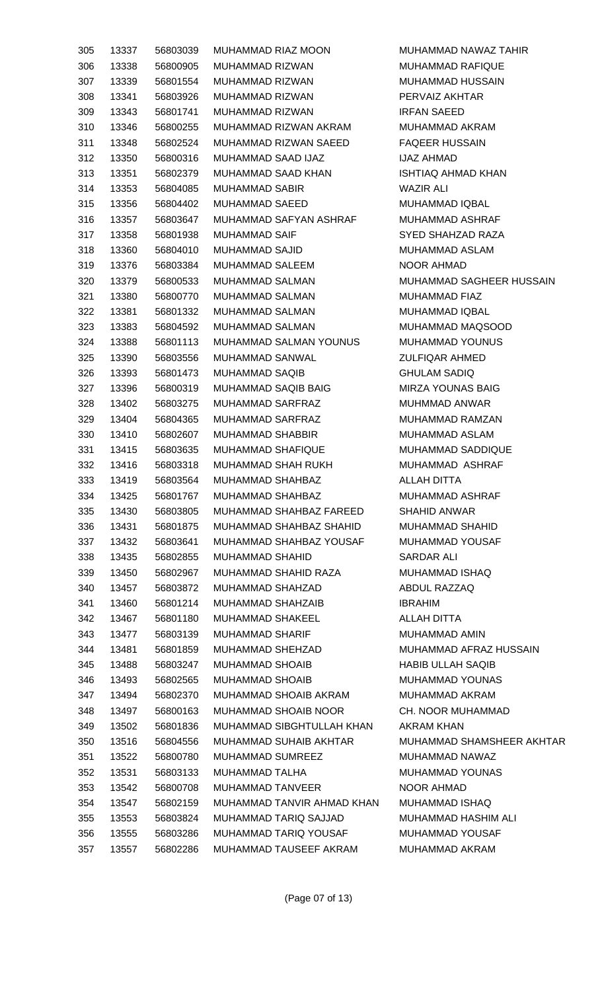| 305 | 13337 | 56803039 | MUHAMMAD RIAZ MOON                    | MUHAMMAD NAWAZ TAHIR      |
|-----|-------|----------|---------------------------------------|---------------------------|
| 306 | 13338 | 56800905 | MUHAMMAD RIZWAN                       | <b>MUHAMMAD RAFIQUE</b>   |
| 307 | 13339 | 56801554 | MUHAMMAD RIZWAN                       | MUHAMMAD HUSSAIN          |
| 308 | 13341 | 56803926 | MUHAMMAD RIZWAN                       | PERVAIZ AKHTAR            |
| 309 | 13343 | 56801741 | MUHAMMAD RIZWAN                       | <b>IRFAN SAEED</b>        |
| 310 | 13346 | 56800255 | MUHAMMAD RIZWAN AKRAM                 | <b>MUHAMMAD AKRAM</b>     |
| 311 | 13348 | 56802524 | MUHAMMAD RIZWAN SAEED                 | <b>FAQEER HUSSAIN</b>     |
| 312 | 13350 | 56800316 | MUHAMMAD SAAD IJAZ                    | IJAZ AHMAD                |
| 313 | 13351 | 56802379 | MUHAMMAD SAAD KHAN                    | <b>ISHTIAQ AHMAD KHAN</b> |
| 314 | 13353 | 56804085 | MUHAMMAD SABIR                        | WAZIR ALI                 |
|     | 13356 | 56804402 | MUHAMMAD SAEED                        | MUHAMMAD IQBAL            |
| 315 |       |          | MUHAMMAD SAFYAN ASHRAF                |                           |
| 316 | 13357 | 56803647 |                                       | MUHAMMAD ASHRAF           |
| 317 | 13358 | 56801938 | <b>MUHAMMAD SAIF</b>                  | SYED SHAHZAD RAZA         |
| 318 | 13360 | 56804010 | MUHAMMAD SAJID                        | MUHAMMAD ASLAM            |
| 319 | 13376 | 56803384 | MUHAMMAD SALEEM                       | NOOR AHMAD                |
| 320 | 13379 | 56800533 | MUHAMMAD SALMAN                       | MUHAMMAD SAGHEER HUSSAIN  |
| 321 | 13380 | 56800770 | MUHAMMAD SALMAN                       | MUHAMMAD FIAZ             |
| 322 | 13381 | 56801332 | MUHAMMAD SALMAN                       | MUHAMMAD IQBAL            |
| 323 | 13383 | 56804592 | MUHAMMAD SALMAN                       | MUHAMMAD MAQSOOD          |
| 324 | 13388 | 56801113 | MUHAMMAD SALMAN YOUNUS                | MUHAMMAD YOUNUS           |
| 325 | 13390 | 56803556 | MUHAMMAD SANWAL                       | <b>ZULFIQAR AHMED</b>     |
| 326 | 13393 | 56801473 | MUHAMMAD SAQIB                        | <b>GHULAM SADIQ</b>       |
| 327 | 13396 | 56800319 | MUHAMMAD SAQIB BAIG                   | <b>MIRZA YOUNAS BAIG</b>  |
| 328 | 13402 | 56803275 | MUHAMMAD SARFRAZ                      | MUHMMAD ANWAR             |
| 329 | 13404 | 56804365 | MUHAMMAD SARFRAZ                      | MUHAMMAD RAMZAN           |
| 330 | 13410 | 56802607 | MUHAMMAD SHABBIR                      | MUHAMMAD ASLAM            |
| 331 | 13415 | 56803635 | MUHAMMAD SHAFIQUE                     | MUHAMMAD SADDIQUE         |
| 332 | 13416 | 56803318 | MUHAMMAD SHAH RUKH                    | MUHAMMAD ASHRAF           |
| 333 |       |          | 13419  56803564  MUHAMMAD SHAHBAZ     | ALLAH DITTA               |
| 334 | 13425 | 56801767 | MUHAMMAD SHAHBAZ                      | MUHAMMAD ASHRAF           |
| 335 | 13430 | 56803805 | MUHAMMAD SHAHBAZ FAREED               | <b>SHAHID ANWAR</b>       |
| 336 | 13431 | 56801875 | MUHAMMAD SHAHBAZ SHAHID               | <b>MUHAMMAD SHAHID</b>    |
| 337 | 13432 | 56803641 | MUHAMMAD SHAHBAZ YOUSAF               | MUHAMMAD YOUSAF           |
| 338 | 13435 | 56802855 | MUHAMMAD SHAHID                       | SARDAR ALI                |
| 339 | 13450 | 56802967 | MUHAMMAD SHAHID RAZA                  | MUHAMMAD ISHAQ            |
| 340 | 13457 | 56803872 | MUHAMMAD SHAHZAD                      | ABDUL RAZZAQ              |
| 341 | 13460 | 56801214 | MUHAMMAD SHAHZAIB                     | IBRAHIM                   |
| 342 | 13467 | 56801180 | MUHAMMAD SHAKEEL                      | ALLAH DITTA               |
| 343 | 13477 | 56803139 | MUHAMMAD SHARIF                       | MUHAMMAD AMIN             |
| 344 | 13481 | 56801859 | MUHAMMAD SHEHZAD                      | MUHAMMAD AFRAZ HUSSAIN    |
| 345 | 13488 | 56803247 | MUHAMMAD SHOAIB                       | <b>HABIB ULLAH SAQIB</b>  |
| 346 |       | 56802565 | MUHAMMAD SHOAIB                       | MUHAMMAD YOUNAS           |
|     | 13493 |          | MUHAMMAD SHOAIB AKRAM                 |                           |
| 347 | 13494 | 56802370 |                                       | MUHAMMAD AKRAM            |
| 348 | 13497 | 56800163 | MUHAMMAD SHOAIB NOOR                  | CH. NOOR MUHAMMAD         |
| 349 | 13502 | 56801836 | MUHAMMAD SIBGHTULLAH KHAN             | AKRAM KHAN                |
| 350 | 13516 | 56804556 | MUHAMMAD SUHAIB AKHTAR                | MUHAMMAD SHAMSHEER AKHTAR |
| 351 | 13522 | 56800780 | MUHAMMAD SUMREEZ                      | MUHAMMAD NAWAZ            |
| 352 | 13531 | 56803133 | MUHAMMAD TALHA                        | MUHAMMAD YOUNAS           |
| 353 | 13542 | 56800708 | MUHAMMAD TANVEER                      | NOOR AHMAD                |
| 354 | 13547 | 56802159 | MUHAMMAD TANVIR AHMAD KHAN            | MUHAMMAD ISHAQ            |
| 355 | 13553 | 56803824 | MUHAMMAD TARIQ SAJJAD                 | MUHAMMAD HASHIM ALI       |
| 356 | 13555 | 56803286 | MUHAMMAD TARIQ YOUSAF MUHAMMAD YOUSAF |                           |
| 357 | 13557 | 56802286 | MUHAMMAD TAUSEEF AKRAM MUHAMMAD AKRAM |                           |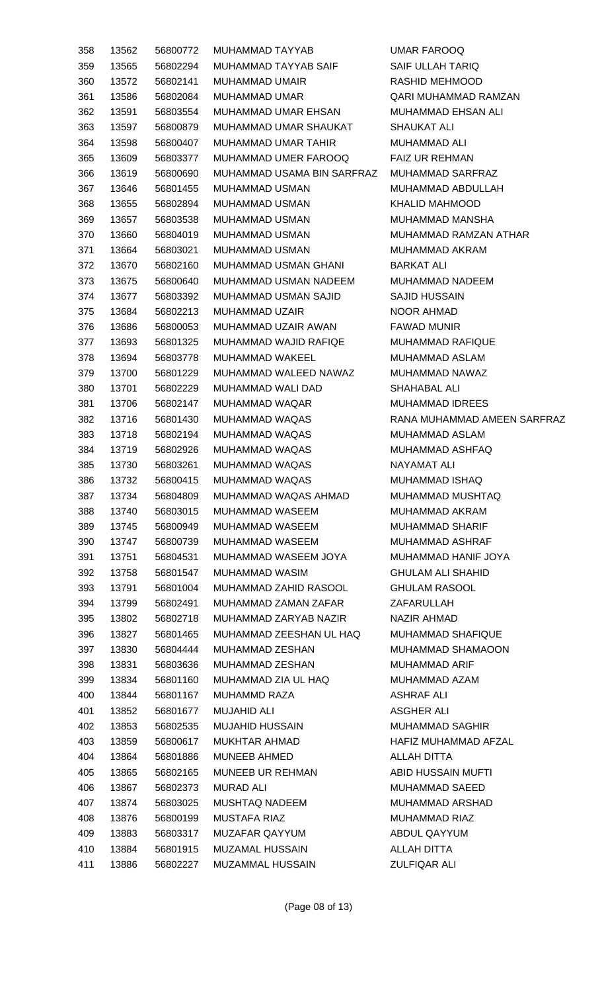| 358        | 13562 | 56800772 | MUHAMMAD TAYYAB                         | <b>UMAR FAROOQ</b>          |
|------------|-------|----------|-----------------------------------------|-----------------------------|
| 359        | 13565 | 56802294 | MUHAMMAD TAYYAB SAIF                    | <b>SAIF ULLAH TARIQ</b>     |
| 360        | 13572 | 56802141 | MUHAMMAD UMAIR                          | RASHID MEHMOOD              |
| 361        | 13586 | 56802084 | MUHAMMAD UMAR                           | QARI MUHAMMAD RAMZAN        |
| 362        | 13591 | 56803554 | MUHAMMAD UMAR EHSAN                     | MUHAMMAD EHSAN ALI          |
| 363        | 13597 | 56800879 | MUHAMMAD UMAR SHAUKAT                   | <b>SHAUKAT ALI</b>          |
| 364        | 13598 | 56800407 | MUHAMMAD UMAR TAHIR                     | <b>MUHAMMAD ALI</b>         |
| 365        | 13609 | 56803377 | MUHAMMAD UMER FAROOQ                    | <b>FAIZ UR REHMAN</b>       |
| 366        | 13619 | 56800690 | MUHAMMAD USAMA BIN SARFRAZ              | MUHAMMAD SARFRAZ            |
| 367        | 13646 | 56801455 | MUHAMMAD USMAN                          | MUHAMMAD ABDULLAH           |
| 368        | 13655 | 56802894 | MUHAMMAD USMAN                          | <b>KHALID MAHMOOD</b>       |
| 369        | 13657 | 56803538 | MUHAMMAD USMAN                          | MUHAMMAD MANSHA             |
| 370        | 13660 | 56804019 | MUHAMMAD USMAN                          | MUHAMMAD RAMZAN ATHAR       |
| 371        | 13664 | 56803021 | MUHAMMAD USMAN                          | MUHAMMAD AKRAM              |
| 372        | 13670 | 56802160 | MUHAMMAD USMAN GHANI                    | <b>BARKAT ALI</b>           |
| 373        | 13675 | 56800640 | MUHAMMAD USMAN NADEEM                   | <b>MUHAMMAD NADEEM</b>      |
| 374        | 13677 | 56803392 | MUHAMMAD USMAN SAJID                    | <b>SAJID HUSSAIN</b>        |
| 375        | 13684 | 56802213 | MUHAMMAD UZAIR                          | NOOR AHMAD                  |
| 376        | 13686 | 56800053 | MUHAMMAD UZAIR AWAN                     | <b>FAWAD MUNIR</b>          |
| 377        | 13693 | 56801325 | MUHAMMAD WAJID RAFIQE                   | MUHAMMAD RAFIQUE            |
| 378        | 13694 | 56803778 | MUHAMMAD WAKEEL                         | MUHAMMAD ASLAM              |
| 379        | 13700 | 56801229 | MUHAMMAD WALEED NAWAZ                   | MUHAMMAD NAWAZ              |
| 380        | 13701 | 56802229 | MUHAMMAD WALI DAD                       | SHAHABAL ALI                |
| 381        | 13706 | 56802147 | MUHAMMAD WAQAR                          | <b>MUHAMMAD IDREES</b>      |
| 382        | 13716 | 56801430 | MUHAMMAD WAQAS                          | RANA MUHAMMAD AMEEN SARFRAZ |
| 383        | 13718 | 56802194 | MUHAMMAD WAQAS                          | MUHAMMAD ASLAM              |
| 384        | 13719 | 56802926 | MUHAMMAD WAQAS                          | MUHAMMAD ASHFAQ             |
| 385        | 13730 | 56803261 | MUHAMMAD WAQAS                          | NAYAMAT ALI                 |
|            | 13732 |          | 56800415 MUHAMMAD WAQAS                 | <b>MUHAMMAD ISHAQ</b>       |
| 386<br>387 | 13734 | 56804809 | MUHAMMAD WAQAS AHMAD                    | MUHAMMAD MUSHTAQ            |
| 388        | 13740 | 56803015 | MUHAMMAD WASEEM                         | MUHAMMAD AKRAM              |
| 389        |       | 56800949 | MUHAMMAD WASEEM                         | <b>MUHAMMAD SHARIF</b>      |
|            | 13745 |          |                                         |                             |
| 390        | 13747 | 56800739 | MUHAMMAD WASEEM<br>MUHAMMAD WASEEM JOYA | MUHAMMAD ASHRAF             |
| 391        | 13751 | 56804531 |                                         | MUHAMMAD HANIF JOYA         |
| 392        | 13758 | 56801547 | MUHAMMAD WASIM                          | <b>GHULAM ALI SHAHID</b>    |
| 393        | 13791 | 56801004 | MUHAMMAD ZAHID RASOOL                   | <b>GHULAM RASOOL</b>        |
| 394        | 13799 | 56802491 | MUHAMMAD ZAMAN ZAFAR                    | ZAFARULLAH                  |
| 395        | 13802 | 56802718 | MUHAMMAD ZARYAB NAZIR                   | NAZIR AHMAD                 |
| 396        | 13827 | 56801465 | MUHAMMAD ZEESHAN UL HAQ                 | <b>MUHAMMAD SHAFIQUE</b>    |
| 397        | 13830 | 56804444 | MUHAMMAD ZESHAN                         | MUHAMMAD SHAMAOON           |
| 398        | 13831 | 56803636 | MUHAMMAD ZESHAN                         | MUHAMMAD ARIF               |
| 399        | 13834 | 56801160 | MUHAMMAD ZIA UL HAQ                     | MUHAMMAD AZAM               |
| 400        | 13844 | 56801167 | MUHAMMD RAZA                            | ASHRAF ALI                  |
| 401        | 13852 | 56801677 | <b>MUJAHID ALI</b>                      | ASGHER ALI                  |
| 402        | 13853 | 56802535 | MUJAHID HUSSAIN                         | MUHAMMAD SAGHIR             |
| 403        | 13859 | 56800617 | MUKHTAR AHMAD                           | HAFIZ MUHAMMAD AFZAL        |
| 404        | 13864 | 56801886 | MUNEEB AHMED                            | ALLAH DITTA                 |
| 405        | 13865 | 56802165 | MUNEEB UR REHMAN                        | ABID HUSSAIN MUFTI          |
| 406        | 13867 | 56802373 | MURAD ALI                               | MUHAMMAD SAEED              |
| 407        | 13874 | 56803025 | MUSHTAQ NADEEM                          | <b>MUHAMMAD ARSHAD</b>      |
| 408        | 13876 | 56800199 | MUSTAFA RIAZ                            | MUHAMMAD RIAZ               |
| 409        | 13883 | 56803317 | MUZAFAR QAYYUM                          | ABDUL QAYYUM                |
| 410        | 13884 | 56801915 | MUZAMAL HUSSAIN                         | ALLAH DITTA                 |
| 411        | 13886 | 56802227 | MUZAMMAL HUSSAIN                        | <b>ZULFIQAR ALI</b>         |
|            |       |          |                                         |                             |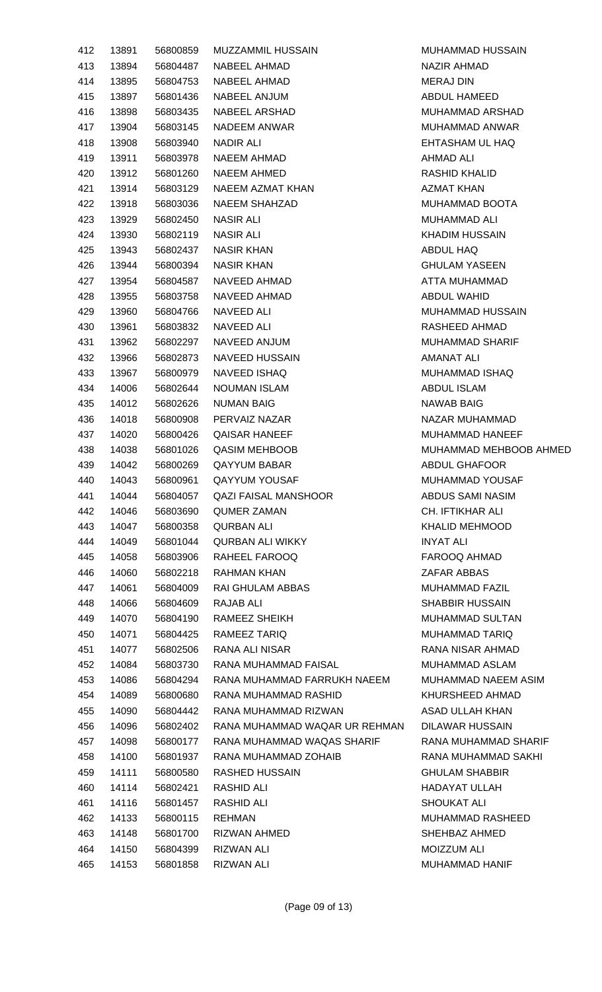| 412 | 13891 | 56800859 | MUZZAMMIL HUSSAIN             | <b>MUHAMMAD HUSSAIN</b> |
|-----|-------|----------|-------------------------------|-------------------------|
| 413 | 13894 | 56804487 | NABEEL AHMAD                  | NAZIR AHMAD             |
| 414 | 13895 | 56804753 | NABEEL AHMAD                  | <b>MERAJ DIN</b>        |
| 415 | 13897 | 56801436 | NABEEL ANJUM                  | ABDUL HAMEED            |
| 416 | 13898 | 56803435 | NABEEL ARSHAD                 | MUHAMMAD ARSHAD         |
| 417 | 13904 | 56803145 | NADEEM ANWAR                  | MUHAMMAD ANWAR          |
| 418 | 13908 | 56803940 | NADIR ALI                     | EHTASHAM UL HAQ         |
| 419 | 13911 | 56803978 | NAEEM AHMAD                   | <b>AHMAD ALI</b>        |
| 420 | 13912 | 56801260 | <b>NAEEM AHMED</b>            | RASHID KHALID           |
| 421 | 13914 | 56803129 | NAEEM AZMAT KHAN              | <b>AZMAT KHAN</b>       |
| 422 | 13918 | 56803036 | NAEEM SHAHZAD                 | MUHAMMAD BOOTA          |
| 423 | 13929 | 56802450 | NASIR ALI                     | MUHAMMAD ALI            |
| 424 | 13930 | 56802119 | <b>NASIR ALI</b>              | <b>KHADIM HUSSAIN</b>   |
| 425 | 13943 | 56802437 | <b>NASIR KHAN</b>             | ABDUL HAQ               |
| 426 | 13944 | 56800394 | NASIR KHAN                    | <b>GHULAM YASEEN</b>    |
| 427 | 13954 | 56804587 | NAVEED AHMAD                  | ATTA MUHAMMAD           |
| 428 | 13955 | 56803758 | NAVEED AHMAD                  | <b>ABDUL WAHID</b>      |
| 429 | 13960 | 56804766 | <b>NAVEED ALI</b>             | <b>MUHAMMAD HUSSAIN</b> |
| 430 | 13961 | 56803832 | NAVEED ALI                    | RASHEED AHMAD           |
| 431 | 13962 | 56802297 | NAVEED ANJUM                  | <b>MUHAMMAD SHARIF</b>  |
| 432 | 13966 | 56802873 | <b>NAVEED HUSSAIN</b>         | AMANAT ALI              |
| 433 | 13967 | 56800979 | NAVEED ISHAQ                  | MUHAMMAD ISHAQ          |
| 434 | 14006 | 56802644 | <b>NOUMAN ISLAM</b>           | ABDUL ISLAM             |
| 435 | 14012 | 56802626 | <b>NUMAN BAIG</b>             | <b>NAWAB BAIG</b>       |
|     |       |          |                               | NAZAR MUHAMMAD          |
| 436 | 14018 | 56800908 | PERVAIZ NAZAR                 |                         |
| 437 | 14020 | 56800426 | <b>QAISAR HANEEF</b>          | MUHAMMAD HANEEF         |
| 438 | 14038 | 56801026 | <b>QASIM MEHBOOB</b>          | MUHAMMAD MEHBOOB AHMED  |
| 439 | 14042 | 56800269 | <b>QAYYUM BABAR</b>           | ABDUL GHAFOOR           |
| 440 | 14043 | 56800961 | <b>QAYYUM YOUSAF</b>          | MUHAMMAD YOUSAF         |
| 441 | 14044 | 56804057 | <b>QAZI FAISAL MANSHOOR</b>   | ABDUS SAMI NASIM        |
| 442 | 14046 | 56803690 | <b>QUMER ZAMAN</b>            | CH. IFTIKHAR ALI        |
| 443 | 14047 | 56800358 | QURBAN ALI                    | <b>KHALID MEHMOOD</b>   |
| 444 | 14049 | 56801044 | <b>QURBAN ALI WIKKY</b>       | <b>INYAT ALI</b>        |
| 445 | 14058 | 56803906 | RAHEEL FAROOQ                 | FAROOQ AHMAD            |
| 446 | 14060 | 56802218 | RAHMAN KHAN                   | ZAFAR ABBAS             |
| 447 | 14061 | 56804009 | RAI GHULAM ABBAS              | MUHAMMAD FAZIL          |
| 448 | 14066 | 56804609 | RAJAB ALI                     | <b>SHABBIR HUSSAIN</b>  |
| 449 | 14070 | 56804190 | RAMEEZ SHEIKH                 | <b>MUHAMMAD SULTAN</b>  |
| 450 | 14071 | 56804425 | RAMEEZ TARIQ                  | MUHAMMAD TARIQ          |
| 451 | 14077 | 56802506 | RANA ALI NISAR                | RANA NISAR AHMAD        |
| 452 | 14084 | 56803730 | RANA MUHAMMAD FAISAL          | MUHAMMAD ASLAM          |
| 453 | 14086 | 56804294 | RANA MUHAMMAD FARRUKH NAEEM   | MUHAMMAD NAEEM ASIM     |
| 454 | 14089 | 56800680 | RANA MUHAMMAD RASHID          | KHURSHEED AHMAD         |
| 455 | 14090 | 56804442 | RANA MUHAMMAD RIZWAN          | ASAD ULLAH KHAN         |
| 456 | 14096 | 56802402 | RANA MUHAMMAD WAQAR UR REHMAN | DILAWAR HUSSAIN         |
| 457 | 14098 | 56800177 | RANA MUHAMMAD WAQAS SHARIF    | RANA MUHAMMAD SHARIF    |
| 458 | 14100 | 56801937 | RANA MUHAMMAD ZOHAIB          | RANA MUHAMMAD SAKHI     |
| 459 | 14111 | 56800580 | RASHED HUSSAIN                | <b>GHULAM SHABBIR</b>   |
| 460 | 14114 | 56802421 | <b>RASHID ALI</b>             | <b>HADAYAT ULLAH</b>    |
| 461 | 14116 | 56801457 | RASHID ALI                    | SHOUKAT ALI             |
| 462 | 14133 | 56800115 | REHMAN                        | MUHAMMAD RASHEED        |
| 463 | 14148 | 56801700 | RIZWAN AHMED                  | SHEHBAZ AHMED           |
| 464 | 14150 | 56804399 | <b>RIZWAN ALI</b>             | <b>MOIZZUM ALI</b>      |
| 465 | 14153 | 56801858 | <b>RIZWAN ALI</b>             | MUHAMMAD HANIF          |
|     |       |          |                               |                         |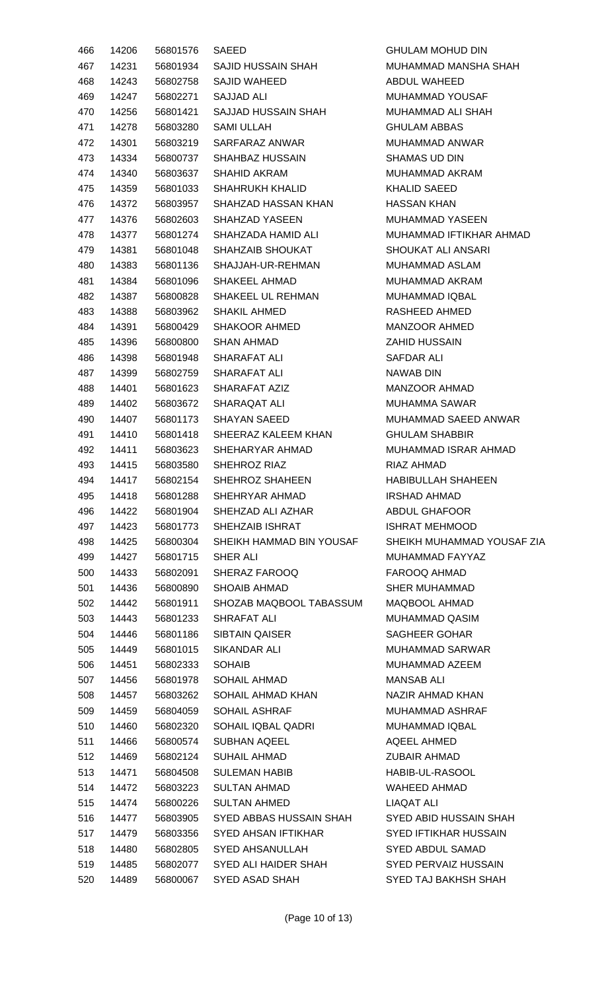| 466 | 14206 | 56801576 | <b>SAEED</b>             | <b>GHULAM MOHUD DIN</b>      |
|-----|-------|----------|--------------------------|------------------------------|
| 467 | 14231 | 56801934 | SAJID HUSSAIN SHAH       | MUHAMMAD MANSHA SHAH         |
| 468 | 14243 | 56802758 | <b>SAJID WAHEED</b>      | ABDUL WAHEED                 |
| 469 | 14247 | 56802271 | <b>SAJJAD ALI</b>        | MUHAMMAD YOUSAF              |
| 470 | 14256 | 56801421 | SAJJAD HUSSAIN SHAH      | MUHAMMAD ALI SHAH            |
| 471 | 14278 | 56803280 | <b>SAMI ULLAH</b>        | <b>GHULAM ABBAS</b>          |
| 472 | 14301 | 56803219 | SARFARAZ ANWAR           | <b>MUHAMMAD ANWAR</b>        |
| 473 | 14334 | 56800737 | <b>SHAHBAZ HUSSAIN</b>   | <b>SHAMAS UD DIN</b>         |
| 474 | 14340 | 56803637 | <b>SHAHID AKRAM</b>      | MUHAMMAD AKRAM               |
| 475 | 14359 | 56801033 | SHAHRUKH KHALID          | <b>KHALID SAEED</b>          |
| 476 | 14372 | 56803957 | SHAHZAD HASSAN KHAN      | <b>HASSAN KHAN</b>           |
| 477 | 14376 | 56802603 | SHAHZAD YASEEN           | MUHAMMAD YASEEN              |
| 478 | 14377 | 56801274 | SHAHZADA HAMID ALI       | MUHAMMAD IFTIKHAR AHMAD      |
| 479 | 14381 | 56801048 | SHAHZAIB SHOUKAT         | SHOUKAT ALI ANSARI           |
| 480 | 14383 | 56801136 | SHAJJAH-UR-REHMAN        | MUHAMMAD ASLAM               |
| 481 | 14384 | 56801096 | SHAKEEL AHMAD            | <b>MUHAMMAD AKRAM</b>        |
| 482 | 14387 | 56800828 | SHAKEEL UL REHMAN        | <b>MUHAMMAD IQBAL</b>        |
| 483 | 14388 | 56803962 | <b>SHAKIL AHMED</b>      | RASHEED AHMED                |
| 484 | 14391 | 56800429 | SHAKOOR AHMED            | MANZOOR AHMED                |
| 485 | 14396 | 56800800 | SHAN AHMAD               | <b>ZAHID HUSSAIN</b>         |
| 486 | 14398 | 56801948 | SHARAFAT ALI             | SAFDAR ALI                   |
| 487 | 14399 | 56802759 | SHARAFAT ALI             | NAWAB DIN                    |
| 488 | 14401 | 56801623 | SHARAFAT AZIZ            | <b>MANZOOR AHMAD</b>         |
| 489 | 14402 | 56803672 | SHARAQAT ALI             | <b>MUHAMMA SAWAR</b>         |
| 490 | 14407 | 56801173 | <b>SHAYAN SAEED</b>      | MUHAMMAD SAEED ANWAR         |
| 491 | 14410 | 56801418 | SHEERAZ KALEEM KHAN      | <b>GHULAM SHABBIR</b>        |
| 492 | 14411 | 56803623 | SHEHARYAR AHMAD          | MUHAMMAD ISRAR AHMAD         |
| 493 | 14415 | 56803580 | SHEHROZ RIAZ             | RIAZ AHMAD                   |
| 494 | 14417 | 56802154 | SHEHROZ SHAHEEN          | <b>HABIBULLAH SHAHEEN</b>    |
| 495 | 14418 | 56801288 | SHEHRYAR AHMAD           | <b>IRSHAD AHMAD</b>          |
| 496 | 14422 | 56801904 | SHEHZAD ALI AZHAR        | ABDUL GHAFOOR                |
| 497 | 14423 | 56801773 | SHEHZAIB ISHRAT          | <b>ISHRAT MEHMOOD</b>        |
| 498 | 14425 | 56800304 | SHEIKH HAMMAD BIN YOUSAF | SHEIKH MUHAMMAD YOUSAF ZIA   |
| 499 | 14427 | 56801715 | SHER ALI                 | MUHAMMAD FAYYAZ              |
| 500 | 14433 | 56802091 | SHERAZ FAROOQ            | FAROOQ AHMAD                 |
|     | 14436 | 56800890 | <b>SHOAIB AHMAD</b>      | <b>SHER MUHAMMAD</b>         |
| 501 |       |          | SHOZAB MAQBOOL TABASSUM  | <b>MAQBOOL AHMAD</b>         |
| 502 | 14442 | 56801911 |                          |                              |
| 503 | 14443 | 56801233 | SHRAFAT ALI              | MUHAMMAD QASIM               |
| 504 | 14446 | 56801186 | <b>SIBTAIN QAISER</b>    | <b>SAGHEER GOHAR</b>         |
| 505 | 14449 | 56801015 | SIKANDAR ALI             | <b>MUHAMMAD SARWAR</b>       |
| 506 | 14451 | 56802333 | <b>SOHAIB</b>            | MUHAMMAD AZEEM               |
| 507 | 14456 | 56801978 | SOHAIL AHMAD             | <b>MANSAB ALI</b>            |
| 508 | 14457 | 56803262 | SOHAIL AHMAD KHAN        | NAZIR AHMAD KHAN             |
| 509 | 14459 | 56804059 | SOHAIL ASHRAF            | MUHAMMAD ASHRAF              |
| 510 | 14460 | 56802320 | SOHAIL IQBAL QADRI       | MUHAMMAD IQBAL               |
| 511 | 14466 | 56800574 | <b>SUBHAN AQEEL</b>      | AQEEL AHMED                  |
| 512 | 14469 | 56802124 | SUHAIL AHMAD             | <b>ZUBAIR AHMAD</b>          |
| 513 | 14471 | 56804508 | <b>SULEMAN HABIB</b>     | HABIB-UL-RASOOL              |
| 514 | 14472 | 56803223 | <b>SULTAN AHMAD</b>      | <b>WAHEED AHMAD</b>          |
| 515 | 14474 | 56800226 | <b>SULTAN AHMED</b>      | LIAQAT ALI                   |
| 516 | 14477 | 56803905 | SYED ABBAS HUSSAIN SHAH  | SYED ABID HUSSAIN SHAH       |
| 517 | 14479 | 56803356 | SYED AHSAN IFTIKHAR      | <b>SYED IFTIKHAR HUSSAIN</b> |
| 518 | 14480 | 56802805 | <b>SYED AHSANULLAH</b>   | <b>SYED ABDUL SAMAD</b>      |
| 519 | 14485 | 56802077 | SYED ALI HAIDER SHAH     | <b>SYED PERVAIZ HUSSAIN</b>  |
| 520 | 14489 | 56800067 | SYED ASAD SHAH           | SYED TAJ BAKHSH SHAH         |

(Page 10 of 13)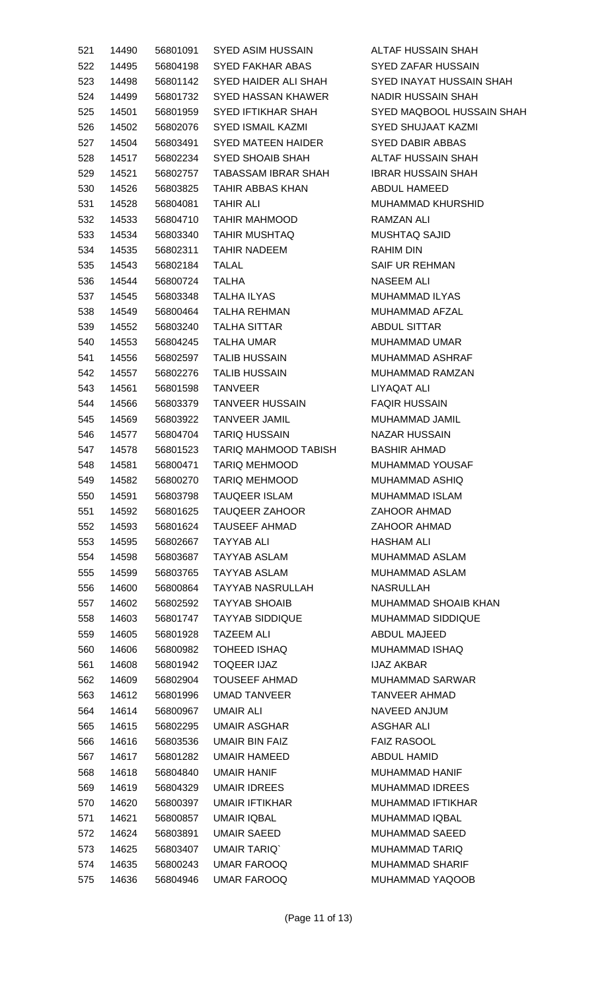| 521 | 14490 |          | 56801091 SYED ASIM HUSSAIN ALTAF HUSSAIN SHAH |                           |
|-----|-------|----------|-----------------------------------------------|---------------------------|
| 522 | 14495 | 56804198 | SYED FAKHAR ABAS                              | SYED ZAFAR HUSSAIN        |
| 523 | 14498 | 56801142 | SYED HAIDER ALI SHAH SYED INAYAT HUSSAIN SHAH |                           |
| 524 | 14499 | 56801732 | SYED HASSAN KHAWER NADIR HUSSAIN SHAH         |                           |
| 525 | 14501 | 56801959 | SYED IFTIKHAR SHAH                            | SYED MAQBOOL HUSSAIN SHAH |
| 526 | 14502 | 56802076 | SYED ISMAIL KAZMI                             | <b>SYED SHUJAAT KAZMI</b> |
| 527 | 14504 | 56803491 | SYED MATEEN HAIDER SYED DABIR ABBAS           |                           |
| 528 | 14517 | 56802234 | SYED SHOAIB SHAH                              | ALTAF HUSSAIN SHAH        |
| 529 | 14521 | 56802757 | TABASSAM IBRAR SHAH IBRAR HUSSAIN SHAH        |                           |
| 530 | 14526 | 56803825 | TAHIR ABBAS KHAN                              | ABDUL HAMEED              |
| 531 | 14528 | 56804081 | <b>TAHIR ALI</b>                              | MUHAMMAD KHURSHID         |
| 532 | 14533 | 56804710 | TAHIR MAHMOOD                                 | RAMZAN ALI                |
| 533 | 14534 | 56803340 | <b>TAHIR MUSHTAQ</b>                          | <b>MUSHTAQ SAJID</b>      |
| 534 | 14535 | 56802311 | TAHIR NADEEM                                  | <b>RAHIM DIN</b>          |
| 535 | 14543 | 56802184 | TALAL                                         | SAIF UR REHMAN            |
| 536 | 14544 | 56800724 | <b>TALHA</b>                                  | <b>NASEEM ALI</b>         |
| 537 | 14545 | 56803348 | TALHA ILYAS                                   | MUHAMMAD ILYAS            |
| 538 | 14549 | 56800464 | TALHA REHMAN                                  | MUHAMMAD AFZAL            |
| 539 | 14552 | 56803240 | TALHA SITTAR                                  | ABDUL SITTAR              |
| 540 | 14553 | 56804245 | TALHA UMAR                                    | MUHAMMAD UMAR             |
| 541 | 14556 | 56802597 | TALIB HUSSAIN                                 | MUHAMMAD ASHRAF           |
|     | 14557 | 56802276 | TALIB HUSSAIN                                 | MUHAMMAD RAMZAN           |
| 542 |       |          |                                               |                           |
| 543 | 14561 | 56801598 | TANVEER                                       | LIYAQAT ALI               |
| 544 | 14566 | 56803379 | TANVEER HUSSAIN                               | <b>FAQIR HUSSAIN</b>      |
| 545 | 14569 | 56803922 | TANVEER JAMIL                                 | MUHAMMAD JAMIL            |
| 546 | 14577 | 56804704 | <b>TARIQ HUSSAIN</b>                          | <b>NAZAR HUSSAIN</b>      |
| 547 | 14578 | 56801523 | TARIQ MAHMOOD TABISH                          | BASHIR AHMAD              |
| 548 | 14581 | 56800471 | <b>TARIQ MEHMOOD</b>                          | MUHAMMAD YOUSAF           |
| 549 | 14582 | 56800270 | <b>TARIQ MEHMOOD</b>                          | MUHAMMAD ASHIQ            |
| 550 | 14591 | 56803798 | <b>TAUQEER ISLAM</b>                          | <b>MUHAMMAD ISLAM</b>     |
| 551 | 14592 | 56801625 | <b>TAUQEER ZAHOOR</b>                         | <b>ZAHOOR AHMAD</b>       |
| 552 | 14593 | 56801624 | TAUSEEF AHMAD                                 | <b>ZAHOOR AHMAD</b>       |
| 553 | 14595 | 56802667 | TAYYAB ALI                                    | HASHAM ALI                |
| 554 | 14598 | 56803687 | TAYYAB ASLAM                                  | MUHAMMAD ASLAM            |
| 555 | 14599 | 56803765 | <b>TAYYAB ASLAM</b>                           | MUHAMMAD ASLAM            |
| 556 | 14600 | 56800864 | TAYYAB NASRULLAH                              | <b>NASRULLAH</b>          |
| 557 | 14602 | 56802592 | <b>TAYYAB SHOAIB</b>                          | MUHAMMAD SHOAIB KHAN      |
| 558 | 14603 | 56801747 | <b>TAYYAB SIDDIQUE</b>                        | MUHAMMAD SIDDIQUE         |
| 559 | 14605 | 56801928 | <b>TAZEEM ALI</b>                             | ABDUL MAJEED              |
| 560 | 14606 | 56800982 | <b>TOHEED ISHAQ</b>                           | MUHAMMAD ISHAQ            |
| 561 | 14608 | 56801942 | <b>TOQEER IJAZ</b>                            | <b>IJAZ AKBAR</b>         |
| 562 | 14609 | 56802904 | <b>TOUSEEF AHMAD</b>                          | <b>MUHAMMAD SARWAR</b>    |
| 563 | 14612 | 56801996 | UMAD TANVEER                                  | TANVEER AHMAD             |
| 564 | 14614 | 56800967 | <b>UMAIR ALI</b>                              | NAVEED ANJUM              |
| 565 | 14615 | 56802295 | UMAIR ASGHAR                                  | ASGHAR ALI                |
| 566 | 14616 | 56803536 | <b>UMAIR BIN FAIZ</b>                         | <b>FAIZ RASOOL</b>        |
| 567 | 14617 | 56801282 | UMAIR HAMEED                                  | ABDUL HAMID               |
| 568 | 14618 | 56804840 | <b>UMAIR HANIF</b>                            | MUHAMMAD HANIF            |
| 569 | 14619 | 56804329 | UMAIR IDREES                                  | <b>MUHAMMAD IDREES</b>    |
| 570 | 14620 | 56800397 | UMAIR IFTIKHAR                                | MUHAMMAD IFTIKHAR         |
| 571 | 14621 | 56800857 | <b>UMAIR IQBAL</b>                            | <b>MUHAMMAD IQBAL</b>     |
| 572 | 14624 | 56803891 | <b>UMAIR SAEED</b>                            | MUHAMMAD SAEED            |
| 573 | 14625 | 56803407 | <b>UMAIR TARIQ</b>                            | MUHAMMAD TARIQ            |
| 574 | 14635 | 56800243 | <b>UMAR FAROOQ</b>                            | <b>MUHAMMAD SHARIF</b>    |
| 575 | 14636 | 56804946 | UMAR FAROOQ                                   | MUHAMMAD YAQOOB           |
|     |       |          |                                               |                           |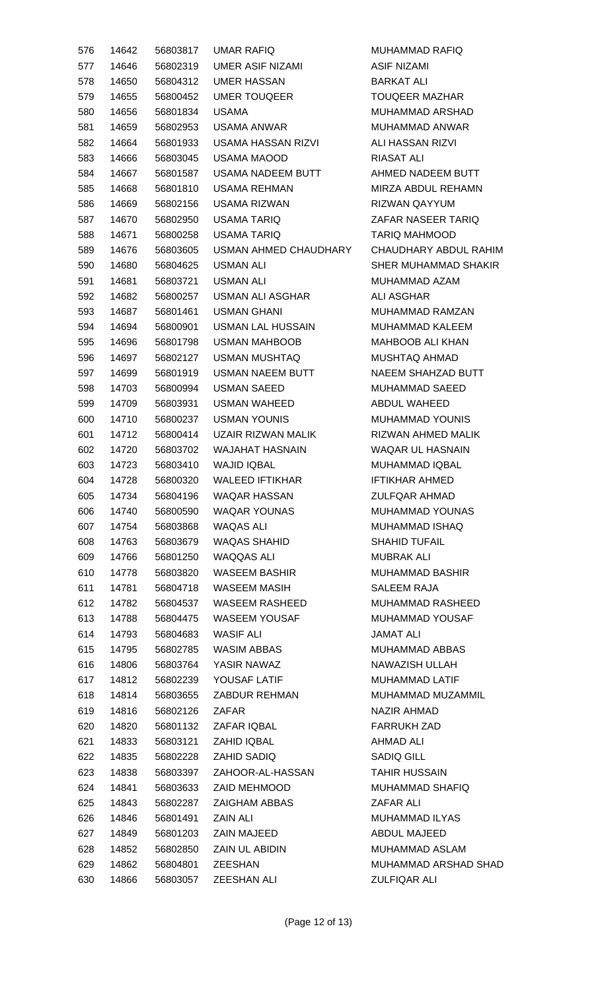| 576 | 14642 | 56803817             | <b>UMAR RAFIQ</b>                           | MU         |
|-----|-------|----------------------|---------------------------------------------|------------|
| 577 | 14646 | 56802319             | <b>UMER ASIF NIZAMI</b>                     | AS         |
| 578 | 14650 | 56804312             | <b>UMER HASSAN</b>                          | <b>BA</b>  |
| 579 | 14655 | 56800452             | <b>UMER TOUQEER</b>                         | TO         |
| 580 | 14656 | 56801834             | <b>USAMA</b>                                | MU         |
| 581 | 14659 | 56802953             | <b>USAMA ANWAR</b>                          | MU         |
| 582 | 14664 | 56801933             | <b>USAMA HASSAN RIZVI</b>                   | ALI        |
| 583 | 14666 | 56803045             | <b>USAMA MAOOD</b>                          | R          |
| 584 | 14667 | 56801587             | <b>USAMA NADEEM BUTT</b>                    | AH         |
| 585 | 14668 | 56801810             | <b>USAMA REHMAN</b>                         | MIF        |
| 586 | 14669 | 56802156             | <b>USAMA RIZWAN</b>                         | <b>RIZ</b> |
| 587 | 14670 | 56802950             | <b>USAMA TARIQ</b>                          | ZA         |
| 588 | 14671 | 56800258             | <b>USAMA TARIQ</b>                          | <b>TA</b>  |
| 589 | 14676 | 56803605             | USMAN AHMED CHAUDHARY                       | CН         |
| 590 | 14680 | 56804625             | <b>USMAN ALI</b>                            | <b>SH</b>  |
| 591 | 14681 | 56803721             | <b>USMAN ALI</b>                            | MU         |
| 592 | 14682 | 56800257             | USMAN ALI ASGHAR                            | ALI        |
| 593 | 14687 | 56801461             | <b>USMAN GHANI</b>                          | MU         |
| 594 | 14694 | 56800901             | <b>USMAN LAL HUSSAIN</b>                    | MU         |
| 595 | 14696 | 56801798             | <b>USMAN MAHBOOB</b>                        | MA         |
| 596 | 14697 | 56802127             | <b>USMAN MUSHTAQ</b>                        | MU         |
| 597 | 14699 | 56801919             | <b>USMAN NAEEM BUTT</b>                     | <b>NA</b>  |
| 598 | 14703 | 56800994             | <b>USMAN SAEED</b>                          | MU         |
| 599 | 14709 | 56803931             | USMAN WAHEED                                | AB         |
| 600 | 14710 | 56800237             | <b>USMAN YOUNIS</b>                         | MU         |
| 601 | 14712 | 56800414             | UZAIR RIZWAN MALIK                          | <b>RIZ</b> |
| 602 | 14720 | 56803702             | <b>WAJAHAT HASNAIN</b>                      | WA         |
| 603 | 14723 | 56803410             | <b>WAJID IQBAL</b>                          | MU         |
| 604 | 14728 | 56800320             | <b>WALEED IFTIKHAR</b>                      | <b>IFT</b> |
| 605 | 14734 | 56804196             | <b>WAQAR HASSAN</b>                         | ZU         |
| 606 | 14740 | 56800590             | <b>WAQAR YOUNAS</b>                         | MU         |
| 607 | 14754 | 56803868             | <b>WAQAS ALI</b>                            | MU         |
| 608 | 14763 | 56803679             | <b>WAQAS SHAHID</b>                         | <b>SH</b>  |
| 609 | 14766 | 56801250             | WAQQAS ALI                                  | MU         |
| 610 | 14778 | 56803820             | <b>WASEEM BASHIR</b>                        | MU         |
| 611 | 14781 | 56804718             | <b>WASEEM MASIH</b>                         | <b>SA</b>  |
| 612 | 14782 | 56804537             | WASEEM RASHEED                              | MU         |
| 613 | 14788 | 56804475             | <b>WASEEM YOUSAF</b>                        | MU         |
| 614 | 14793 | 56804683             | <b>WASIF ALI</b>                            | JAI        |
| 615 | 14795 | 56802785             | <b>WASIM ABBAS</b>                          | MU         |
| 616 | 14806 | 56803764             | YASIR NAWAZ                                 | <b>NA</b>  |
| 617 | 14812 | 56802239             | YOUSAF LATIF                                | MU         |
| 618 | 14814 | 56803655             | ZABDUR REHMAN                               | MU         |
| 619 | 14816 | 56802126             | <b>ZAFAR</b>                                | <b>NA</b>  |
| 620 | 14820 | 56801132             | ZAFAR IQBAL                                 | <b>FA</b>  |
| 621 | 14833 | 56803121             | ZAHID IQBAL                                 | AH         |
| 622 | 14835 | 56802228             | <b>ZAHID SADIQ</b>                          | <b>SA</b>  |
| 623 |       | 56803397             | ZAHOOR-AL-HASSAN                            | <b>TA</b>  |
|     | 14838 |                      |                                             |            |
| 624 | 14841 | 56803633             | <b>ZAID MEHMOOD</b><br><b>ZAIGHAM ABBAS</b> | MU<br>ZA   |
| 625 | 14843 | 56802287<br>56801491 | <b>ZAIN ALI</b>                             |            |
| 626 | 14846 |                      | <b>ZAIN MAJEED</b>                          | MU<br>AB   |
| 627 | 14849 | 56801203             |                                             |            |
| 628 | 14852 | 56802850             | <b>ZAIN UL ABIDIN</b>                       | MU         |
| 629 | 14862 | 56804801             | <b>ZEESHAN</b>                              | MU         |
| 630 | 14866 | 56803057             | ZEESHAN ALI                                 | ZU         |

**JHAMMAD RAFIQ SIF NIZAMI** RKAT ALI UQEER MAZHAR JHAMMAD ARSHAD JHAMMAD ANWAR I HASSAN RIZVI **ASAT ALI IMED NADEEM BUTT** RZA ABDUL REHAMN **EWAN QAYYUM** FAR NASEER TARIQ RIQ MAHMOOD **IAUDHARY ABDUL RAHIM IER MUHAMMAD SHAKIR** JHAMMAD AZAM I ASGHAR JHAMMAD RAMZAN JHAMMAD KALEEM **HBOOB ALI KHAN JSHTAQ AHMAD EEM SHAHZAD BUTT** JHAMMAD SAEED BDUL WAHEED JHAMMAD YOUNIS **EWAN AHMED MALIK** AQAR UL HASNAIN JHAMMAD IQBAL **FIKHAR AHMED ILFQAR AHMAD** JHAMMAD YOUNAS JHAMMAD ISHAQ **AHID TUFAIL JBRAK ALI** JHAMMAD BASHIR LEEM RAJA JHAMMAD RASHEED JHAMMAD YOUSAF **MAT ALI** JHAMMAD ABBAS WAZISH ULLAH JHAMMAD LATIF JHAMMAD MUZAMMIL **ZIR AHMAD** RRUKH ZAD **IMAD ALI** DIQ GILL HIR HUSSAIN **JHAMMAD SHAFIQ** FAR ALI JHAMMAD ILYAS BOUL MAJEED JHAMMAD ASLAM JHAMMAD ARSHAD SHAD **ILFIQAR ALI**